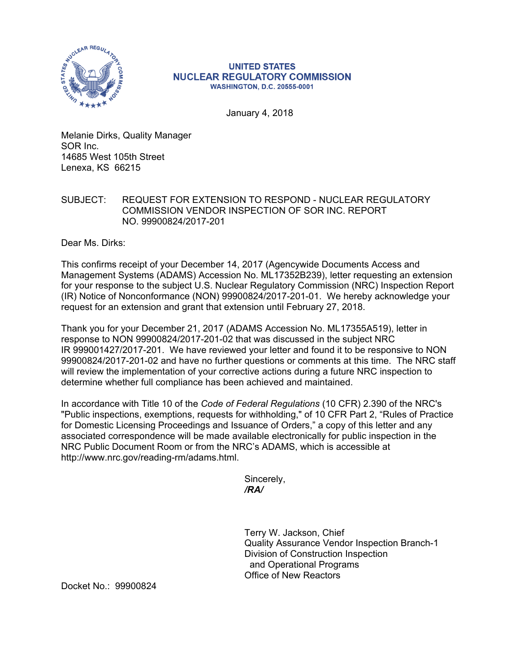

## **UNITED STATES NUCLEAR REGULATORY COMMISSION WASHINGTON, D.C. 20555-0001**

January 4, 2018

Melanie Dirks, Quality Manager SOR Inc. 14685 West 105th Street Lenexa, KS 66215

## SUBJECT: REQUEST FOR EXTENSION TO RESPOND - NUCLEAR REGULATORY COMMISSION VENDOR INSPECTION OF SOR INC. REPORT NO. 99900824/2017-201

Dear Ms. Dirks:

This confirms receipt of your December 14, 2017 (Agencywide Documents Access and Management Systems (ADAMS) Accession No. ML17352B239), letter requesting an extension for your response to the subject U.S. Nuclear Regulatory Commission (NRC) Inspection Report (IR) Notice of Nonconformance (NON) 99900824/2017-201-01. We hereby acknowledge your request for an extension and grant that extension until February 27, 2018.

Thank you for your December 21, 2017 (ADAMS Accession No. ML17355A519), letter in response to NON 99900824/2017-201-02 that was discussed in the subject NRC IR 999001427/2017-201. We have reviewed your letter and found it to be responsive to NON 99900824/2017-201-02 and have no further questions or comments at this time. The NRC staff will review the implementation of your corrective actions during a future NRC inspection to determine whether full compliance has been achieved and maintained.

In accordance with Title 10 of the *Code of Federal Regulations* (10 CFR) 2.390 of the NRC's "Public inspections, exemptions, requests for withholding," of 10 CFR Part 2, "Rules of Practice for Domestic Licensing Proceedings and Issuance of Orders," a copy of this letter and any associated correspondence will be made available electronically for public inspection in the NRC Public Document Room or from the NRC's ADAMS, which is accessible at http://www.nrc.gov/reading-rm/adams.html.

> Sincerely, */RA/*

Terry W. Jackson, Chief Quality Assurance Vendor Inspection Branch-1 Division of Construction Inspection and Operational Programs Office of New Reactors

Docket No.: 99900824